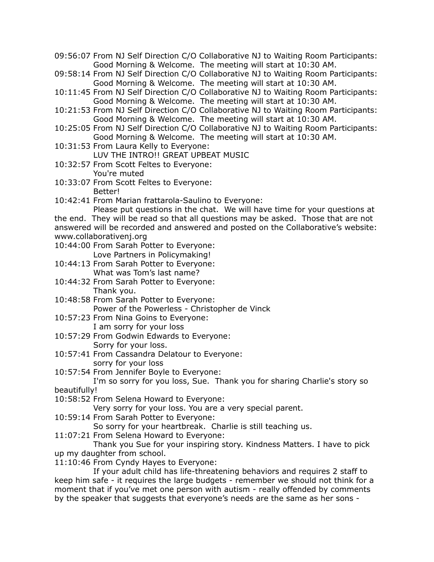- 09:56:07 From NJ Self Direction C/O Collaborative NJ to Waiting Room Participants: Good Morning & Welcome. The meeting will start at 10:30 AM.
- 09:58:14 From NJ Self Direction C/O Collaborative NJ to Waiting Room Participants: Good Morning & Welcome. The meeting will start at 10:30 AM.
- 10:11:45 From NJ Self Direction C/O Collaborative NJ to Waiting Room Participants: Good Morning & Welcome. The meeting will start at 10:30 AM.
- 10:21:53 From NJ Self Direction C/O Collaborative NJ to Waiting Room Participants: Good Morning & Welcome. The meeting will start at 10:30 AM.
- 10:25:05 From NJ Self Direction C/O Collaborative NJ to Waiting Room Participants: Good Morning & Welcome. The meeting will start at 10:30 AM.
- 10:31:53 From Laura Kelly to Everyone: LUV THE INTRO!! GREAT UPBEAT MUSIC
- 10:32:57 From Scott Feltes to Everyone: You're muted
- 10:33:07 From Scott Feltes to Everyone: Better!
- 10:42:41 From Marian frattarola-Saulino to Everyone:

Please put questions in the chat. We will have time for your questions at the end. They will be read so that all questions may be asked. Those that are not answered will be recorded and answered and posted on the Collaborative's website: www.collaborativenj.org

10:44:00 From Sarah Potter to Everyone: Love Partners in Policymaking!

10:44:13 From Sarah Potter to Everyone: What was Tom's last name?

- 10:44:32 From Sarah Potter to Everyone: Thank you.
- 10:48:58 From Sarah Potter to Everyone: Power of the Powerless - Christopher de Vinck
- 10:57:23 From Nina Goins to Everyone: I am sorry for your loss
- 10:57:29 From Godwin Edwards to Everyone: Sorry for your loss.
- 10:57:41 From Cassandra Delatour to Everyone: sorry for your loss
- 10:57:54 From Jennifer Boyle to Everyone:

## I'm so sorry for you loss, Sue. Thank you for sharing Charlie's story so beautifully!

10:58:52 From Selena Howard to Everyone:

Very sorry for your loss. You are a very special parent.

10:59:14 From Sarah Potter to Everyone:

So sorry for your heartbreak. Charlie is still teaching us.

11:07:21 From Selena Howard to Everyone:

Thank you Sue for your inspiring story. Kindness Matters. I have to pick up my daughter from school.

11:10:46 From Cyndy Hayes to Everyone:

If your adult child has life-threatening behaviors and requires 2 staff to keep him safe - it requires the large budgets - remember we should not think for a moment that if you've met one person with autism - really offended by comments by the speaker that suggests that everyone's needs are the same as her sons -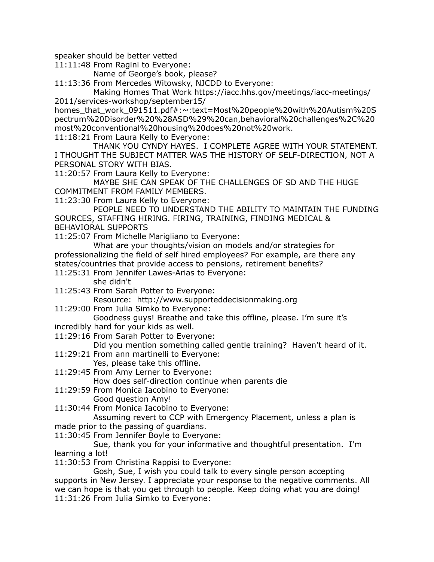speaker should be better vetted

11:11:48 From Ragini to Everyone:

Name of George's book, please?

11:13:36 From Mercedes Witowsky, NJCDD to Everyone:

Making Homes That Work https://iacc.hhs.gov/meetings/iacc-meetings/ 2011/services-workshop/september15/

homes\_that\_work\_091511.pdf#:~:text=Most%20people%20with%20Autism%20S pectrum%20Disorder%20%28ASD%29%20can,behavioral%20challenges%2C%20 most%20conventional%20housing%20does%20not%20work.

11:18:21 From Laura Kelly to Everyone:

THANK YOU CYNDY HAYES. I COMPLETE AGREE WITH YOUR STATEMENT. I THOUGHT THE SUBJECT MATTER WAS THE HISTORY OF SELF-DIRECTION, NOT A PERSONAL STORY WITH BIAS.

11:20:57 From Laura Kelly to Everyone:

MAYBE SHE CAN SPEAK OF THE CHALLENGES OF SD AND THE HUGE COMMITMENT FROM FAMILY MEMBERS.

11:23:30 From Laura Kelly to Everyone:

PEOPLE NEED TO UNDERSTAND THE ABILITY TO MAINTAIN THE FUNDING SOURCES, STAFFING HIRING. FIRING, TRAINING, FINDING MEDICAL & BEHAVIORAL SUPPORTS

11:25:07 From Michelle Marigliano to Everyone:

What are your thoughts/vision on models and/or strategies for professionalizing the field of self hired employees? For example, are there any states/countries that provide access to pensions, retirement benefits?

11:25:31 From Jennifer Lawes-Arias to Everyone:

she didn't

11:25:43 From Sarah Potter to Everyone:

Resource: http://www.supporteddecisionmaking.org

11:29:00 From Julia Simko to Everyone:

Goodness guys! Breathe and take this offline, please. I'm sure it's incredibly hard for your kids as well.

11:29:16 From Sarah Potter to Everyone:

Did you mention something called gentle training? Haven't heard of it.

11:29:21 From ann martinelli to Everyone:

Yes, please take this offline.

- 11:29:45 From Amy Lerner to Everyone: How does self-direction continue when parents die
- 11:29:59 From Monica Iacobino to Everyone: Good question Amy!

11:30:44 From Monica Iacobino to Everyone:

Assuming revert to CCP with Emergency Placement, unless a plan is made prior to the passing of guardians.

11:30:45 From Jennifer Boyle to Everyone:

Sue, thank you for your informative and thoughtful presentation. I'm learning a lot!

11:30:53 From Christina Rappisi to Everyone:

Gosh, Sue, I wish you could talk to every single person accepting supports in New Jersey. I appreciate your response to the negative comments. All we can hope is that you get through to people. Keep doing what you are doing! 11:31:26 From Julia Simko to Everyone: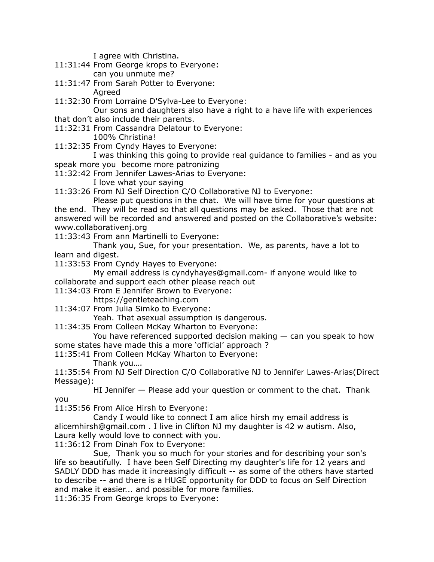I agree with Christina.

- 11:31:44 From George krops to Everyone: can you unmute me?
- 11:31:47 From Sarah Potter to Everyone:

Agreed

11:32:30 From Lorraine D'Sylva-Lee to Everyone:

Our sons and daughters also have a right to a have life with experiences that don't also include their parents.

- 11:32:31 From Cassandra Delatour to Everyone:
- 100% Christina!
- 11:32:35 From Cyndy Hayes to Everyone:

I was thinking this going to provide real guidance to families - and as you speak more you become more patronizing

11:32:42 From Jennifer Lawes-Arias to Everyone:

- I love what your saying
- 11:33:26 From NJ Self Direction C/O Collaborative NJ to Everyone:

Please put questions in the chat. We will have time for your questions at the end. They will be read so that all questions may be asked. Those that are not answered will be recorded and answered and posted on the Collaborative's website: www.collaborativenj.org

11:33:43 From ann Martinelli to Everyone:

Thank you, Sue, for your presentation. We, as parents, have a lot to learn and digest.

11:33:53 From Cyndy Hayes to Everyone:

My email address is cyndyhayes@gmail.com- if anyone would like to collaborate and support each other please reach out

11:34:03 From E Jennifer Brown to Everyone:

https://gentleteaching.com

11:34:07 From Julia Simko to Everyone:

Yeah. That asexual assumption is dangerous.

11:34:35 From Colleen McKay Wharton to Everyone:

You have referenced supported decision making — can you speak to how some states have made this a more 'official' approach ?

- 11:35:41 From Colleen McKay Wharton to Everyone:
	- Thank you….

11:35:54 From NJ Self Direction C/O Collaborative NJ to Jennifer Lawes-Arias(Direct Message):

HI Jennifer — Please add your question or comment to the chat. Thank you

11:35:56 From Alice Hirsh to Everyone:

Candy I would like to connect I am alice hirsh my email address is alicemhirsh@gmail.com . I live in Clifton NJ my daughter is 42 w autism. Also, Laura kelly would love to connect with you.

11:36:12 From Dinah Fox to Everyone:

Sue, Thank you so much for your stories and for describing your son's life so beautifully. I have been Self Directing my daughter's life for 12 years and SADLY DDD has made it increasingly difficult -- as some of the others have started to describe -- and there is a HUGE opportunity for DDD to focus on Self Direction and make it easier... and possible for more families.

11:36:35 From George krops to Everyone: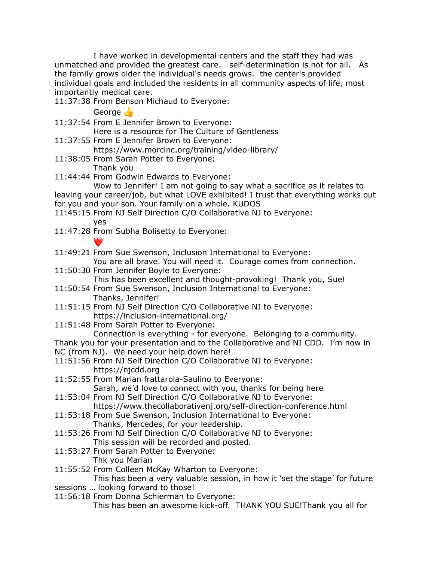I have worked in developmental centers and the staff they had was unmatched and provided the greatest care. self-determination is not for all. As the family grows older the individual's needs grows. the center's provided individual goals and included the residents in all community aspects of life, most importantly medical care.

11:37:38 From Benson Michaud to Everyone:

George **B** 

- 11:37:54 From E Jennifer Brown to Everyone: Here is a resource for The Culture of Gentleness
- 11:37:55 From E Jennifer Brown to Everyone: https://www.morcinc.org/training/video-library/
- 11:38:05 From Sarah Potter to Everyone: Thank you
- 11:44:44 From Godwin Edwards to Everyone:
- Wow to Jennifer! I am not going to say what a sacrifice as it relates to leaving your career/job, but what LOVE exhibited! I trust that everything works out for you and your son. Your family on a whole. KUDOS
- 11:45:15 From NJ Self Direction C/O Collaborative NJ to Everyone: yes
- 11:47:28 From Subha Bolisetty to Everyone:
	-
- 11:49:21 From Sue Swenson, Inclusion International to Everyone:

You are all brave. You will need it. Courage comes from connection.

- 11:50:30 From Jennifer Boyle to Everyone: This has been excellent and thought-provoking! Thank you, Sue!
- 11:50:54 From Sue Swenson, Inclusion International to Everyone: Thanks, Jennifer!
- 11:51:15 From NJ Self Direction C/O Collaborative NJ to Everyone: https://inclusion-international.org/
- 11:51:48 From Sarah Potter to Everyone:
	- Connection is everything for everyone. Belonging to a community.

Thank you for your presentation and to the Collaborative and NJ CDD. I'm now in NC (from NJ). We need your help down here!

- 11:51:56 From NJ Self Direction C/O Collaborative NJ to Everyone: https://njcdd.org
- 11:52:55 From Marian frattarola-Saulino to Everyone: Sarah, we'd love to connect with you, thanks for being here
- 11:53:04 From NJ Self Direction C/O Collaborative NJ to Everyone: https://www.thecollaborativenj.org/self-direction-conference.html
- 11:53:18 From Sue Swenson, Inclusion International to Everyone:
	- Thanks, Mercedes, for your leadership.
- 11:53:26 From NJ Self Direction C/O Collaborative NJ to Everyone: This session will be recorded and posted.
- 11:53:27 From Sarah Potter to Everyone: Thk you Marian
- 11:55:52 From Colleen McKay Wharton to Everyone:

This has been a very valuable session, in how it 'set the stage' for future

- sessions … looking forward to those!
- 11:56:18 From Donna Schierman to Everyone: This has been an awesome kick-off. THANK YOU SUE!Thank you all for